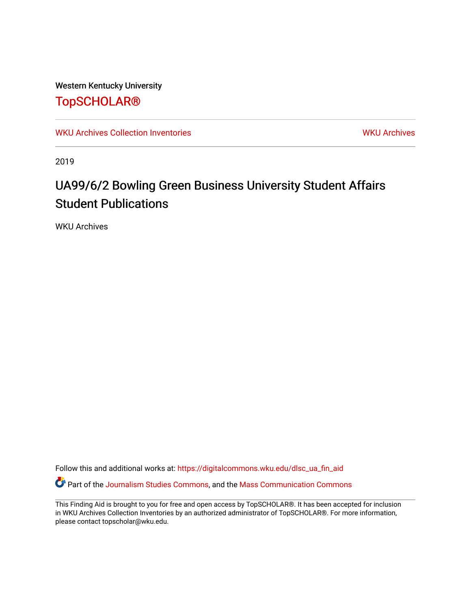Western Kentucky University

## [TopSCHOLAR®](https://digitalcommons.wku.edu/)

[WKU Archives Collection Inventories](https://digitalcommons.wku.edu/dlsc_ua_fin_aid) [WKU Archives](https://digitalcommons.wku.edu/dlsc_ua) WKU Archives

2019

# UA99/6/2 Bowling Green Business University Student Affairs Student Publications

WKU Archives

Follow this and additional works at: [https://digitalcommons.wku.edu/dlsc\\_ua\\_fin\\_aid](https://digitalcommons.wku.edu/dlsc_ua_fin_aid?utm_source=digitalcommons.wku.edu%2Fdlsc_ua_fin_aid%2F855&utm_medium=PDF&utm_campaign=PDFCoverPages)  Part of the [Journalism Studies Commons](http://network.bepress.com/hgg/discipline/333?utm_source=digitalcommons.wku.edu%2Fdlsc_ua_fin_aid%2F855&utm_medium=PDF&utm_campaign=PDFCoverPages), and the [Mass Communication Commons](http://network.bepress.com/hgg/discipline/334?utm_source=digitalcommons.wku.edu%2Fdlsc_ua_fin_aid%2F855&utm_medium=PDF&utm_campaign=PDFCoverPages) 

This Finding Aid is brought to you for free and open access by TopSCHOLAR®. It has been accepted for inclusion in WKU Archives Collection Inventories by an authorized administrator of TopSCHOLAR®. For more information, please contact topscholar@wku.edu.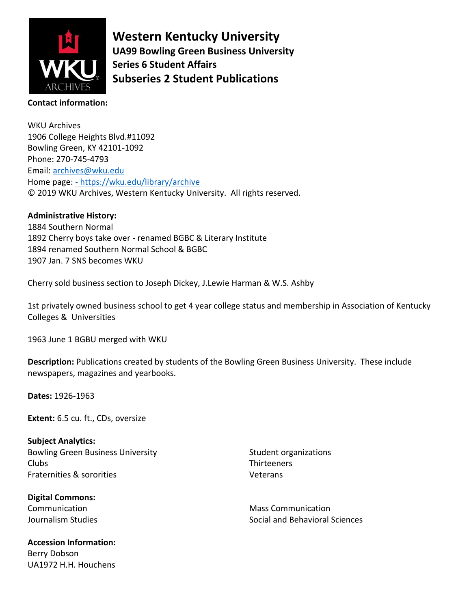

**Western Kentucky University UA99 Bowling Green Business University Series 6 Student Affairs Subseries 2 Student Publications**

### **Contact information:**

WKU Archives 1906 College Heights Blvd.#11092 Bowling Green, KY 42101-1092 Phone: 270-745-4793 Email: [archives@wku.edu](mailto:archives@wku.edu) Home page: - <https://wku.edu/library/archive> © 2019 WKU Archives, Western Kentucky University. All rights reserved.

#### **Administrative History:**

1884 Southern Normal 1892 Cherry boys take over - renamed BGBC & Literary Institute 1894 renamed Southern Normal School & BGBC 1907 Jan. 7 SNS becomes WKU

Cherry sold business section to Joseph Dickey, J.Lewie Harman & W.S. Ashby

1st privately owned business school to get 4 year college status and membership in Association of Kentucky Colleges & Universities

1963 June 1 BGBU merged with WKU

**Description:** Publications created by students of the Bowling Green Business University. These include newspapers, magazines and yearbooks.

**Dates:** 1926-1963

**Extent:** 6.5 cu. ft., CDs, oversize

**Subject Analytics:** Bowling Green Business University Clubs Fraternities & sororities

**Digital Commons:** Communication Journalism Studies

**Accession Information:**  Berry Dobson UA1972 H.H. Houchens

Student organizations **Thirteeners** Veterans

Mass Communication Social and Behavioral Sciences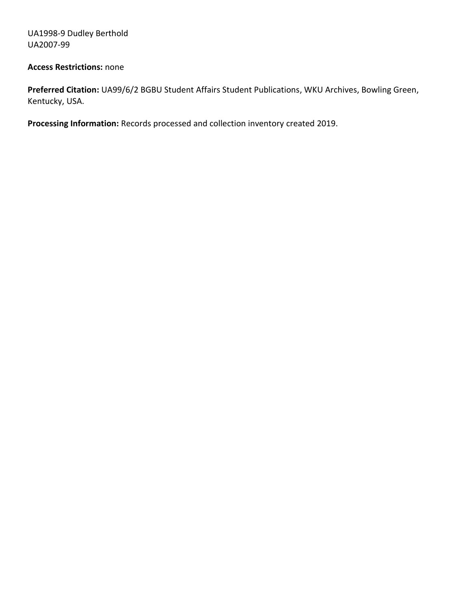UA1998-9 Dudley Berthold UA2007-99

#### **Access Restrictions:** none

**Preferred Citation:** UA99/6/2 BGBU Student Affairs Student Publications, WKU Archives, Bowling Green, Kentucky, USA.

**Processing Information:** Records processed and collection inventory created 2019.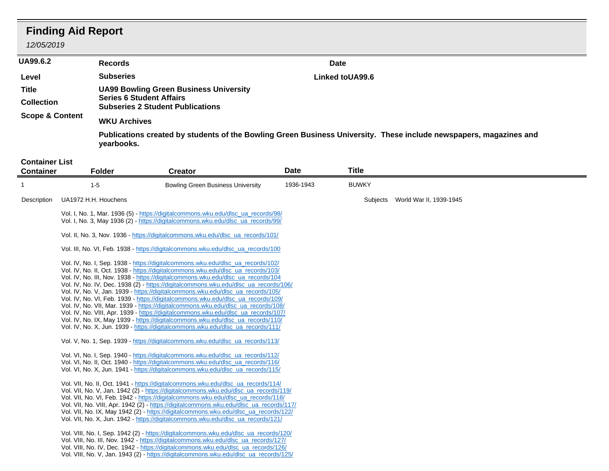# **Finding Aid Report**

### *12/05/2019*

| <b>UA99.6.2</b>            | <b>Records</b>                                                                                                                   | <b>Date</b>            |  |  |  |  |
|----------------------------|----------------------------------------------------------------------------------------------------------------------------------|------------------------|--|--|--|--|
| Level                      | <b>Subseries</b>                                                                                                                 | <b>Linked toUA99.6</b> |  |  |  |  |
| Title                      | <b>UA99 Bowling Green Business University</b>                                                                                    |                        |  |  |  |  |
| <b>Collection</b>          | <b>Series 6 Student Affairs</b><br><b>Subseries 2 Student Publications</b>                                                       |                        |  |  |  |  |
| <b>Scope &amp; Content</b> | <b>WKU Archives</b>                                                                                                              |                        |  |  |  |  |
|                            | Publications created by students of the Bowling Green Business University. These include newspapers, magazines and<br>yearbooks. |                        |  |  |  |  |

#### **Container List**

| <b>Container</b> | <b>Folder</b>        | <b>Creator</b>                                                                                                                                                                                                                                                                                                                                                                                                                                                                                                                                                                                                                                                                                                                                                                                                                                                                                                                                                                                                                                                                                                                                                                                                      | <b>Date</b> | Title        |                         |
|------------------|----------------------|---------------------------------------------------------------------------------------------------------------------------------------------------------------------------------------------------------------------------------------------------------------------------------------------------------------------------------------------------------------------------------------------------------------------------------------------------------------------------------------------------------------------------------------------------------------------------------------------------------------------------------------------------------------------------------------------------------------------------------------------------------------------------------------------------------------------------------------------------------------------------------------------------------------------------------------------------------------------------------------------------------------------------------------------------------------------------------------------------------------------------------------------------------------------------------------------------------------------|-------------|--------------|-------------------------|
|                  | $1 - 5$              | <b>Bowling Green Business University</b>                                                                                                                                                                                                                                                                                                                                                                                                                                                                                                                                                                                                                                                                                                                                                                                                                                                                                                                                                                                                                                                                                                                                                                            | 1936-1943   | <b>BUWKY</b> |                         |
| Description      | UA1972 H.H. Houchens |                                                                                                                                                                                                                                                                                                                                                                                                                                                                                                                                                                                                                                                                                                                                                                                                                                                                                                                                                                                                                                                                                                                                                                                                                     |             | Subjects     | World War II, 1939-1945 |
|                  |                      | Vol. I, No. 1, Mar. 1936 (5) - https://digitalcommons.wku.edu/dlsc_ua_records/98/<br>Vol. I, No. 3, May 1936 (2) - https://digitalcommons.wku.edu/dlsc_ua_records/99/                                                                                                                                                                                                                                                                                                                                                                                                                                                                                                                                                                                                                                                                                                                                                                                                                                                                                                                                                                                                                                               |             |              |                         |
|                  |                      | Vol. II, No. 3, Nov. 1936 - https://digitalcommons.wku.edu/dlsc_ua_records/101/                                                                                                                                                                                                                                                                                                                                                                                                                                                                                                                                                                                                                                                                                                                                                                                                                                                                                                                                                                                                                                                                                                                                     |             |              |                         |
|                  |                      | Vol. III, No. VI, Feb. 1938 - https://digitalcommons.wku.edu/dlsc_ua_records/100                                                                                                                                                                                                                                                                                                                                                                                                                                                                                                                                                                                                                                                                                                                                                                                                                                                                                                                                                                                                                                                                                                                                    |             |              |                         |
|                  |                      | Vol. IV, No. I, Sep. 1938 - https://digitalcommons.wku.edu/dlsc_ua_records/102/<br>Vol. IV, No. II, Oct. 1938 - https://digitalcommons.wku.edu/dlsc_ua_records/103/<br>Vol. IV, No. III, Nov. 1938 - https://digitalcommons.wku.edu/dlsc_ua_records/104<br>Vol. IV, No. IV, Dec. 1938 (2) - https://digitalcommons.wku.edu/dlsc_ua_records/106/<br>Vol. IV, No. V, Jan. 1939 - https://digitalcommons.wku.edu/dlsc_ua_records/105/<br>Vol. IV, No. VI, Feb. 1939 - https://digitalcommons.wku.edu/dlsc_ua_records/109/<br>Vol. IV, No. VII, Mar. 1939 - https://digitalcommons.wku.edu/dlsc_ua_records/108/<br>Vol. IV, No. VIII, Apr. 1939 - https://digitalcommons.wku.edu/dlsc_ua_records/107/<br>Vol. IV, No. IX, May 1939 - https://digitalcommons.wku.edu/dlsc_ua_records/110/<br>Vol. IV, No. X, Jun. 1939 - https://digitalcommons.wku.edu/dlsc_ua_records/111/<br>Vol. V, No. 1, Sep. 1939 - https://digitalcommons.wku.edu/dlsc_ua_records/113/<br>Vol. VI, No. I, Sep. 1940 - https://digitalcommons.wku.edu/dlsc_ua_records/112/<br>Vol. VI, No. II, Oct. 1940 - https://digitalcommons.wku.edu/dlsc_ua_records/116/<br>Vol. VI, No. X, Jun. 1941 - https://digitalcommons.wku.edu/dlsc_ua_records/115/ |             |              |                         |
|                  |                      | Vol. VII, No. II, Oct. 1941 - https://digitalcommons.wku.edu/dlsc_ua_records/114/<br>Vol. VII, No. V, Jan. 1942 (2) - https://digitalcommons.wku.edu/dlsc_ua_records/119/<br>Vol. VII, No. VI, Feb. 1942 - https://digitalcommons.wku.edu/dlsc_ua_records/118/<br>Vol. VII, No. VIII, Apr. 1942 (2) - https://digitalcommons.wku.edu/dlsc_ua_records/117/<br>Vol. VII, No. IX, May 1942 (2) - https://digitalcommons.wku.edu/dlsc_ua_records/122/<br>Vol. VII, No. X, Jun. 1942 - https://digitalcommons.wku.edu/dlsc_ua_records/121/                                                                                                                                                                                                                                                                                                                                                                                                                                                                                                                                                                                                                                                                               |             |              |                         |
|                  |                      | Vol. VIII, No. I, Sep. 1942 (2) - https://digitalcommons.wku.edu/dlsc_ua_records/120/<br>Vol. VIII, No. III, Nov. 1942 - https://digitalcommons.wku.edu/dlsc_ua_records/127/<br>Vol. VIII, No. IV, Dec. 1942 - https://digitalcommons.wku.edu/dlsc_ua_records/126/<br>Vol. VIII, No. V, Jan. 1943 (2) - https://digitalcommons.wku.edu/dlsc_ua_records/125/                                                                                                                                                                                                                                                                                                                                                                                                                                                                                                                                                                                                                                                                                                                                                                                                                                                         |             |              |                         |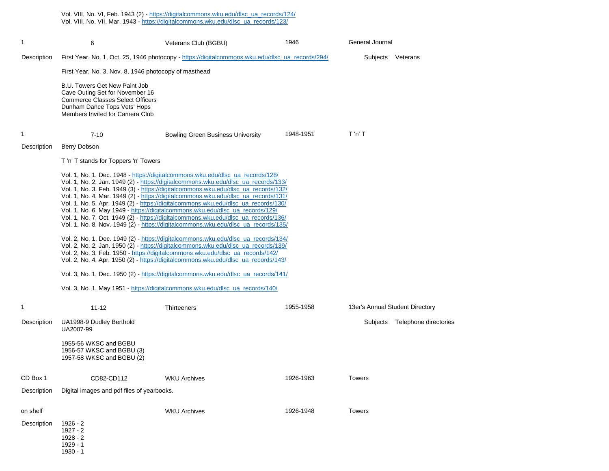Vol. VIII, No. VI, Feb. 1943 (2) - [https://digitalcommons.wku.edu/dlsc\\_ua\\_records/124/](https://digitalcommons.wku.edu/dlsc_ua_records/124/)

Vol. VIII, No. VII, Mar. 1943 - [https://digitalcommons.wku.edu/dlsc\\_ua\\_records/123/](https://digitalcommons.wku.edu/dlsc_ua_records/123/)

| 1           | 6                                                                                                                                                                                                                                                                                                                                                                                                                                                                                                                                                                                                                                                                                                   | Veterans Club (BGBU)                                                                             | 1946      | General Journal                   |  |  |  |
|-------------|-----------------------------------------------------------------------------------------------------------------------------------------------------------------------------------------------------------------------------------------------------------------------------------------------------------------------------------------------------------------------------------------------------------------------------------------------------------------------------------------------------------------------------------------------------------------------------------------------------------------------------------------------------------------------------------------------------|--------------------------------------------------------------------------------------------------|-----------|-----------------------------------|--|--|--|
| Description |                                                                                                                                                                                                                                                                                                                                                                                                                                                                                                                                                                                                                                                                                                     | First Year, No. 1, Oct. 25, 1946 photocopy - https://digitalcommons.wku.edu/dlsc_ua_records/294/ |           | Subjects<br>Veterans              |  |  |  |
|             | First Year, No. 3, Nov. 8, 1946 photocopy of masthead                                                                                                                                                                                                                                                                                                                                                                                                                                                                                                                                                                                                                                               |                                                                                                  |           |                                   |  |  |  |
|             | B.U. Towers Get New Paint Job<br>Cave Outing Set for November 16<br><b>Commerce Classes Select Officers</b><br>Dunham Dance Tops Vets' Hops<br>Members Invited for Camera Club                                                                                                                                                                                                                                                                                                                                                                                                                                                                                                                      |                                                                                                  |           |                                   |  |  |  |
| 1           | $7 - 10$                                                                                                                                                                                                                                                                                                                                                                                                                                                                                                                                                                                                                                                                                            | <b>Bowling Green Business University</b>                                                         | 1948-1951 | $T'$ n' T                         |  |  |  |
| Description | Berry Dobson                                                                                                                                                                                                                                                                                                                                                                                                                                                                                                                                                                                                                                                                                        |                                                                                                  |           |                                   |  |  |  |
|             | T 'n' T stands for Toppers 'n' Towers                                                                                                                                                                                                                                                                                                                                                                                                                                                                                                                                                                                                                                                               |                                                                                                  |           |                                   |  |  |  |
|             | Vol. 1, No. 1, Dec. 1948 - https://digitalcommons.wku.edu/dlsc_ua_records/128/<br>Vol. 1, No. 2, Jan. 1949 (2) - https://digitalcommons.wku.edu/dlsc_ua_records/133/<br>Vol. 1, No. 3, Feb. 1949 (3) - https://digitalcommons.wku.edu/dlsc_ua_records/132/<br>Vol. 1, No. 4, Mar. 1949 (2) - https://digitalcommons.wku.edu/dlsc_ua_records/131/<br>Vol. 1, No. 5, Apr. 1949 (2) - https://digitalcommons.wku.edu/dlsc_ua_records/130/<br>Vol. 1, No. 6, May 1949 - https://digitalcommons.wku.edu/dlsc_ua_records/129/<br>Vol. 1, No. 7, Oct. 1949 (2) - https://digitalcommons.wku.edu/dlsc_ua_records/136/<br>Vol. 1, No. 8, Nov. 1949 (2) - https://digitalcommons.wku.edu/dlsc_ua_records/135/ |                                                                                                  |           |                                   |  |  |  |
|             | Vol. 2, No. 1, Dec. 1949 (2) - https://digitalcommons.wku.edu/dlsc_ua_records/134/<br>Vol. 2, No. 2, Jan. 1950 (2) - https://digitalcommons.wku.edu/dlsc_ua_records/139/<br>Vol. 2, No. 3, Feb. 1950 - https://digitalcommons.wku.edu/dlsc_ua_records/142/<br>Vol. 2, No. 4, Apr. 1950 (2) https://digitalcommons.wku.edu/dlsc_ua_records/143/<br>Vol. 3, No. 1, Dec. 1950 (2) - https://digitalcommons.wku.edu/dlsc_ua_records/141/                                                                                                                                                                                                                                                                |                                                                                                  |           |                                   |  |  |  |
|             |                                                                                                                                                                                                                                                                                                                                                                                                                                                                                                                                                                                                                                                                                                     |                                                                                                  |           |                                   |  |  |  |
|             | Vol. 3, No. 1, May 1951 - https://digitalcommons.wku.edu/dlsc_ua_records/140/                                                                                                                                                                                                                                                                                                                                                                                                                                                                                                                                                                                                                       |                                                                                                  |           |                                   |  |  |  |
| 1           | $11 - 12$                                                                                                                                                                                                                                                                                                                                                                                                                                                                                                                                                                                                                                                                                           | Thirteeners                                                                                      | 1955-1958 | 13er's Annual Student Directory   |  |  |  |
| Description | UA1998-9 Dudley Berthold<br>UA2007-99                                                                                                                                                                                                                                                                                                                                                                                                                                                                                                                                                                                                                                                               |                                                                                                  |           | Telephone directories<br>Subjects |  |  |  |
|             | 1955-56 WKSC and BGBU<br>1956-57 WKSC and BGBU (3)<br>1957-58 WKSC and BGBU (2)                                                                                                                                                                                                                                                                                                                                                                                                                                                                                                                                                                                                                     |                                                                                                  |           |                                   |  |  |  |
| CD Box 1    | CD82-CD112                                                                                                                                                                                                                                                                                                                                                                                                                                                                                                                                                                                                                                                                                          | <b>WKU Archives</b>                                                                              | 1926-1963 | <b>Towers</b>                     |  |  |  |
| Description | Digital images and pdf files of yearbooks.                                                                                                                                                                                                                                                                                                                                                                                                                                                                                                                                                                                                                                                          |                                                                                                  |           |                                   |  |  |  |
| on shelf    |                                                                                                                                                                                                                                                                                                                                                                                                                                                                                                                                                                                                                                                                                                     | <b>WKU Archives</b>                                                                              | 1926-1948 | <b>Towers</b>                     |  |  |  |
| Description | $1926 - 2$<br>$1927 - 2$<br>$1928 - 2$<br>1929 - 1<br>$1930 - 1$                                                                                                                                                                                                                                                                                                                                                                                                                                                                                                                                                                                                                                    |                                                                                                  |           |                                   |  |  |  |